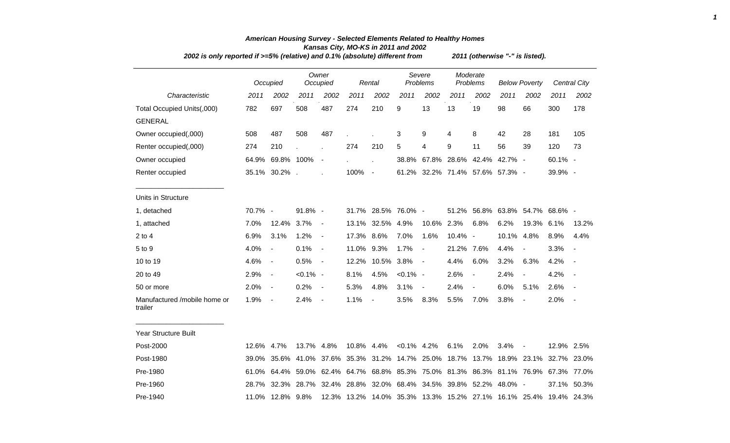|                                         | 2002 is only reported if >=5% (relative) and 0.1% (absolute) different from |                          |             |                          |            |                          |                    |                                                                     |                      |                          | 2011 (otherwise "-" is listed). |                               |            |                     |  |  |  |  |  |
|-----------------------------------------|-----------------------------------------------------------------------------|--------------------------|-------------|--------------------------|------------|--------------------------|--------------------|---------------------------------------------------------------------|----------------------|--------------------------|---------------------------------|-------------------------------|------------|---------------------|--|--|--|--|--|
|                                         |                                                                             | Occupied                 |             | Owner<br>Occupied        |            | Rental                   | Severe<br>Problems |                                                                     | Moderate<br>Problems |                          | <b>Below Poverty</b>            |                               |            | <b>Central City</b> |  |  |  |  |  |
| Characteristic                          | 2011                                                                        | 2002                     | 2011        | 2002                     | 2011       | 2002                     | 2011               | 2002                                                                | 2011                 | 2002                     | 2011                            | 2002                          | 2011       | 2002                |  |  |  |  |  |
| Total Occupied Units(,000)              | 782                                                                         | 697                      | 508         | 487                      | 274        | 210                      | 9                  | 13                                                                  | 13                   | 19                       | 98                              | 66                            | 300        | 178                 |  |  |  |  |  |
| <b>GENERAL</b>                          |                                                                             |                          |             |                          |            |                          |                    |                                                                     |                      |                          |                                 |                               |            |                     |  |  |  |  |  |
| Owner occupied(,000)                    | 508                                                                         | 487                      | 508         | 487                      |            |                          | 3                  | 9                                                                   | 4                    | 8                        | 42                              | 28                            | 181        | 105                 |  |  |  |  |  |
| Renter occupied(,000)                   | 274                                                                         | 210                      |             |                          | 274        | 210                      | 5                  | 4                                                                   | 9                    | 11                       | 56                              | 39                            | 120        | 73                  |  |  |  |  |  |
| Owner occupied                          |                                                                             | 64.9% 69.8% 100%         |             | $\overline{\phantom{a}}$ |            |                          | 38.8%              |                                                                     | 67.8% 28.6%          |                          | 42.4% 42.7% -                   |                               | 60.1% -    |                     |  |  |  |  |  |
| Renter occupied                         |                                                                             | 35.1% 30.2%.             |             |                          | 100%       | $\blacksquare$           |                    | 61.2% 32.2% 71.4% 57.6% 57.3% -                                     |                      |                          |                                 |                               | 39.9% -    |                     |  |  |  |  |  |
| Units in Structure                      |                                                                             |                          |             |                          |            |                          |                    |                                                                     |                      |                          |                                 |                               |            |                     |  |  |  |  |  |
| 1, detached                             | 70.7% -                                                                     |                          | 91.8% -     |                          |            | 31.7% 28.5% 76.0% -      |                    |                                                                     | 51.2%                |                          |                                 | 56.8% 63.8% 54.7% 68.6% -     |            |                     |  |  |  |  |  |
| 1, attached                             | 7.0%                                                                        | 12.4% 3.7%               |             | $\overline{\phantom{a}}$ | 13.1%      | 32.5%                    | 4.9%               | 10.6%                                                               | 2.3%                 | 6.8%                     | 6.2%                            | 19.3% 6.1%                    |            | 13.2%               |  |  |  |  |  |
| $2$ to $4$                              | 6.9%                                                                        | 3.1%                     | 1.2%        | $\blacksquare$           | 17.3% 8.6% |                          | 7.0%               | 1.6%                                                                | 10.4% -              |                          | 10.1%                           | 4.8%                          | 8.9%       | 4.4%                |  |  |  |  |  |
| 5 to 9                                  | 4.0%                                                                        | $\overline{\phantom{a}}$ | 0.1%        | $\blacksquare$           | 11.0%      | 9.3%                     | 1.7%               | $\blacksquare$                                                      | 21.2%                | 7.6%                     | 4.4%                            |                               | 3.3%       |                     |  |  |  |  |  |
| 10 to 19                                | 4.6%                                                                        | $\blacksquare$           | 0.5%        | $\blacksquare$           | 12.2%      | 10.5%                    | 3.8%               | $\overline{\phantom{a}}$                                            | 4.4%                 | 6.0%                     | 3.2%                            | 6.3%                          | 4.2%       |                     |  |  |  |  |  |
| 20 to 49                                | 2.9%                                                                        | $\blacksquare$           | $< 0.1\%$ - |                          | 8.1%       | 4.5%                     | $< 0.1\%$ -        |                                                                     | 2.6%                 | $\overline{\phantom{a}}$ | 2.4%                            | $\blacksquare$                | 4.2%       | $\sim$              |  |  |  |  |  |
| 50 or more                              | 2.0%                                                                        | $\blacksquare$           | 0.2%        | $\blacksquare$           | 5.3%       | 4.8%                     | 3.1%               | $\blacksquare$                                                      | 2.4%                 | $\blacksquare$           | 6.0%                            | 5.1%                          | 2.6%       |                     |  |  |  |  |  |
| Manufactured /mobile home or<br>trailer | 1.9%                                                                        | $\blacksquare$           | 2.4%        | $\overline{\phantom{a}}$ | 1.1%       | $\overline{\phantom{a}}$ | 3.5%               | 8.3%                                                                | 5.5%                 | 7.0%                     | 3.8%                            | $\overline{\phantom{a}}$      | 2.0%       | $\sim$              |  |  |  |  |  |
| <b>Year Structure Built</b>             |                                                                             |                          |             |                          |            |                          |                    |                                                                     |                      |                          |                                 |                               |            |                     |  |  |  |  |  |
| Post-2000                               | 12.6% 4.7%                                                                  |                          | 13.7% 4.8%  |                          | 10.8% 4.4% |                          | $< 0.1\%$ 4.2%     |                                                                     | 6.1%                 | 2.0%                     | 3.4%                            | $\overline{\phantom{a}}$      | 12.9% 2.5% |                     |  |  |  |  |  |
| Post-1980                               | 39.0%                                                                       |                          |             |                          |            |                          |                    | 35.6% 41.0% 37.6% 35.3% 31.2% 14.7% 25.0% 18.7%                     |                      |                          |                                 | 13.7% 18.9% 23.1% 32.7% 23.0% |            |                     |  |  |  |  |  |
| Pre-1980                                | 61.0%                                                                       |                          |             |                          |            |                          |                    | 64.4% 59.0% 62.4% 64.7% 68.8% 85.3% 75.0% 81.3%                     |                      |                          |                                 | 86.3% 81.1% 76.9% 67.3% 77.0% |            |                     |  |  |  |  |  |
| Pre-1960                                |                                                                             |                          |             |                          |            |                          |                    | 28.7% 32.3% 28.7% 32.4% 28.8% 32.0% 68.4% 34.5% 39.8% 52.2% 48.0% - |                      |                          |                                 |                               |            | 37.1% 50.3%         |  |  |  |  |  |
|                                         |                                                                             |                          |             |                          |            |                          |                    |                                                                     |                      |                          |                                 |                               |            |                     |  |  |  |  |  |

Pre-1940 11.0% 12.8% 9.8% 12.3% 13.2% 14.0% 35.3% 13.3% 15.2% 27.1% 16.1% 25.4% 19.4% 24.3%

## *American Housing Survey - Selected Elements Related to Healthy Homes Kansas City, MO-KS in 2011 and 2002*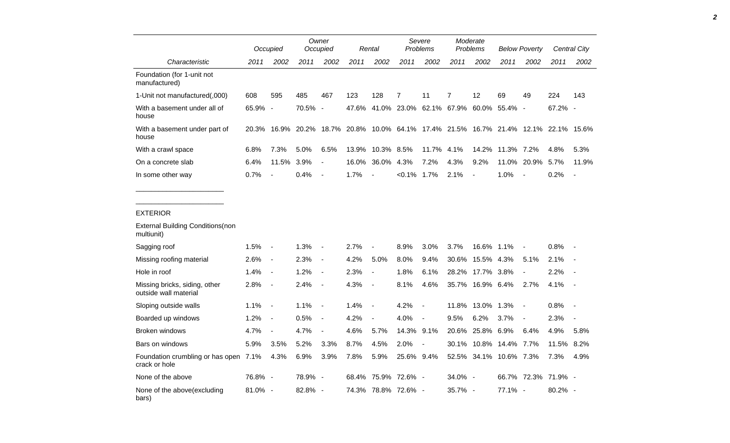|                                                                           |            | Occupied                 |                                                                                     | Owner<br>Occupied        |       | Rental                   |                                             | Severe<br><b>Problems</b> |                | Moderate<br>Problems   |                  | <b>Below Poverty</b>     |                     | <b>Central City</b>      |
|---------------------------------------------------------------------------|------------|--------------------------|-------------------------------------------------------------------------------------|--------------------------|-------|--------------------------|---------------------------------------------|---------------------------|----------------|------------------------|------------------|--------------------------|---------------------|--------------------------|
| Characteristic                                                            | 2011       | 2002                     | 2011                                                                                | 2002                     | 2011  | 2002                     | 2011                                        | 2002                      | 2011           | 2002                   | 2011             | 2002                     | 2011                | 2002                     |
| Foundation (for 1-unit not<br>manufactured)                               |            |                          |                                                                                     |                          |       |                          |                                             |                           |                |                        |                  |                          |                     |                          |
| 1-Unit not manufactured(,000)                                             | 608        | 595                      | 485                                                                                 | 467                      | 123   | 128                      | $\overline{7}$                              | 11                        | $\overline{7}$ | 12                     | 69               | 49                       | 224                 | 143                      |
| With a basement under all of<br>house                                     | 65.9% -    |                          | 70.5% -                                                                             |                          |       |                          | 47.6% 41.0% 23.0% 62.1% 67.9% 60.0% 55.4% - |                           |                |                        |                  |                          | 67.2% -             |                          |
| With a basement under part of<br>house                                    |            |                          | 20.3% 16.9% 20.2% 18.7% 20.8% 10.0% 64.1% 17.4% 21.5% 16.7% 21.4% 12.1% 22.1% 15.6% |                          |       |                          |                                             |                           |                |                        |                  |                          |                     |                          |
| With a crawl space                                                        | 6.8%       | 7.3%                     | 5.0%                                                                                | 6.5%                     | 13.9% | 10.3% 8.5%               |                                             | 11.7% 4.1%                |                |                        | 14.2% 11.3% 7.2% |                          | 4.8%                | 5.3%                     |
| On a concrete slab                                                        | 6.4%       | 11.5% 3.9%               |                                                                                     | $\overline{\phantom{a}}$ |       | 16.0% 36.0% 4.3%         |                                             | 7.2%                      | 4.3%           | 9.2%                   |                  | 11.0% 20.9% 5.7%         |                     | 11.9%                    |
| In some other way                                                         | 0.7%       | $\overline{\phantom{a}}$ | 0.4%                                                                                | $\sim$ $-$               | 1.7%  | $\blacksquare$           | $< 0.1\%$ 1.7%                              |                           | 2.1%           | $\sim$                 | 1.0%             |                          | 0.2%                | $\blacksquare$           |
| <b>EXTERIOR</b><br><b>External Building Conditions (non</b><br>multiunit) |            |                          |                                                                                     |                          |       |                          |                                             |                           |                |                        |                  |                          |                     |                          |
| Sagging roof                                                              | 1.5%       | $\sim$ $-$               | 1.3%                                                                                | $\sim$ $-$               | 2.7%  | $\overline{a}$           | 8.9%                                        | 3.0%                      | 3.7%           | 16.6% 1.1%             |                  | $\overline{\phantom{a}}$ | 0.8%                | $\overline{\phantom{a}}$ |
| Missing roofing material                                                  | $2.6\%$ -  |                          | 2.3%                                                                                | $\sim$ $-$               | 4.2%  | 5.0%                     | 8.0%                                        | 9.4%                      |                | 30.6% 15.5% 4.3%       |                  | 5.1%                     | 2.1%                | $\overline{\phantom{a}}$ |
| Hole in roof                                                              | 1.4%       | $\sim$                   | 1.2%                                                                                | $\sim$ $-$               | 2.3%  | $\blacksquare$           | 1.8%                                        | 6.1%                      |                | 28.2% 17.7% 3.8%       |                  | $\sim$                   | 2.2%                | $\overline{\phantom{a}}$ |
| Missing bricks, siding, other<br>outside wall material                    | 2.8%       | $\sim$                   | 2.4%                                                                                | $\sim$ $-$               | 4.3%  | $\overline{\phantom{a}}$ | 8.1%                                        | 4.6%                      |                | 35.7% 16.9% 6.4%       |                  | 2.7%                     | 4.1%                | $\overline{\phantom{a}}$ |
| Sloping outside walls                                                     | 1.1%       | $\sim$ $-$               | 1.1%                                                                                | $\sim$ $-$               | 1.4%  | $\overline{\phantom{a}}$ | 4.2%                                        | $\blacksquare$            |                | 11.8% 13.0% 1.3%       |                  | $\sim$                   | 0.8%                | $\overline{\phantom{a}}$ |
| Boarded up windows                                                        | 1.2%       | $\overline{\phantom{a}}$ | 0.5%                                                                                | $\sim$ $-$               | 4.2%  | $\overline{\phantom{a}}$ | 4.0%                                        | $\overline{\phantom{a}}$  | 9.5%           | 6.2%                   | 3.7%             | $\blacksquare$           | 2.3%                | $\overline{\phantom{a}}$ |
| <b>Broken windows</b>                                                     | 4.7%       | $\sim$                   | 4.7%                                                                                | $\sim$ $-$               | 4.6%  | 5.7%                     | 14.3% 9.1%                                  |                           |                | 20.6% 25.8% 6.9%       |                  | 6.4%                     | 4.9%                | 5.8%                     |
| Bars on windows                                                           | 5.9%       | 3.5%                     | 5.2%                                                                                | 3.3%                     | 8.7%  | 4.5%                     | 2.0%                                        | $\overline{\phantom{a}}$  |                | 30.1% 10.8% 14.4% 7.7% |                  |                          | 11.5% 8.2%          |                          |
| Foundation crumbling or has open 7.1%<br>crack or hole                    |            | 4.3%                     | 6.9%                                                                                | 3.9%                     | 7.8%  | 5.9%                     | 25.6% 9.4%                                  |                           |                | 52.5% 34.1% 10.6% 7.3% |                  |                          | 7.3%                | 4.9%                     |
| None of the above                                                         | 76.8% -    |                          | 78.9% -                                                                             |                          |       |                          | 68.4% 75.9% 72.6% -                         |                           | 34.0% -        |                        |                  |                          | 66.7% 72.3% 71.9% - |                          |
| None of the above(excluding<br>bars)                                      | $81.0\%$ - |                          | 82.8% -                                                                             |                          |       |                          | 74.3% 78.8% 72.6% -                         |                           | 35.7% -        |                        | 77.1% -          |                          | 80.2% -             |                          |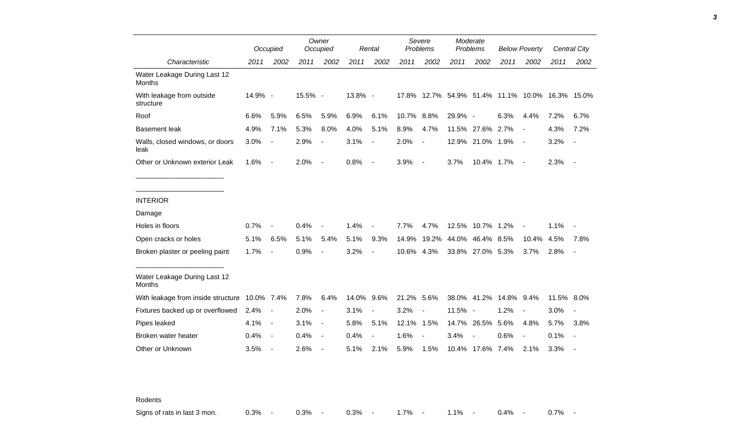|                                               |         | Occupied                 |         | Owner<br>Occupied        |         | Rental                   |       | Severe<br>Problems       |         | Moderate<br>Problems     |                               | <b>Below Poverty</b> |             | <b>Central City</b>      |
|-----------------------------------------------|---------|--------------------------|---------|--------------------------|---------|--------------------------|-------|--------------------------|---------|--------------------------|-------------------------------|----------------------|-------------|--------------------------|
| Characteristic                                | 2011    | 2002                     | 2011    | 2002                     | 2011    | 2002                     | 2011  | 2002                     | 2011    | 2002                     | 2011                          | 2002                 | 2011        | 2002                     |
| Water Leakage During Last 12<br><b>Months</b> |         |                          |         |                          |         |                          |       |                          |         |                          |                               |                      |             |                          |
| With leakage from outside<br>structure        | 14.9% - |                          | 15.5% - |                          | 13.8% - |                          | 17.8% |                          |         |                          | 12.7% 54.9% 51.4% 11.1% 10.0% |                      | 16.3% 15.0% |                          |
| Roof                                          | 6.6%    | 5.9%                     | 6.5%    | 5.9%                     | 6.9%    | 6.1%                     | 10.7% | 8.8%                     | 29.9% - |                          | 6.3%                          | 4.4%                 | 7.2%        | 6.7%                     |
| <b>Basement leak</b>                          | 4.9%    | 7.1%                     | 5.3%    | 8.0%                     | 4.0%    | 5.1%                     | 8.9%  | 4.7%                     | 11.5%   | 27.6%                    | 2.7%                          | $\overline{a}$       | 4.3%        | 7.2%                     |
| Walls, closed windows, or doors<br>leak       | 3.0%    |                          | 2.9%    | $\overline{\phantom{a}}$ | 3.1%    | $\blacksquare$           | 2.0%  | $\overline{\phantom{a}}$ | 12.9%   | 21.0% 1.9%               |                               | $\blacksquare$       | 3.2%        | $\blacksquare$           |
| Other or Unknown exterior Leak                | 1.6%    | $\overline{\phantom{a}}$ | 2.0%    | $\overline{\phantom{a}}$ | 0.8%    | $\overline{\phantom{a}}$ | 3.9%  | $\overline{\phantom{a}}$ | 3.7%    | 10.4% 1.7%               |                               | $\blacksquare$       | 2.3%        | $\overline{\phantom{a}}$ |
|                                               |         |                          |         |                          |         |                          |       |                          |         |                          |                               |                      |             |                          |
| <b>INTERIOR</b>                               |         |                          |         |                          |         |                          |       |                          |         |                          |                               |                      |             |                          |
| Damage                                        |         |                          |         |                          |         |                          |       |                          |         |                          |                               |                      |             |                          |
| Holes in floors                               | 0.7%    |                          | 0.4%    |                          | 1.4%    |                          | 7.7%  | 4.7%                     |         | 12.5% 10.7% 1.2%         |                               | $\blacksquare$       | 1.1%        |                          |
| Open cracks or holes                          | 5.1%    | 6.5%                     | 5.1%    | 5.4%                     | 5.1%    | 9.3%                     | 14.9% | 19.2%                    | 44.0%   | 46.4%                    | 8.5%                          | 10.4%                | 4.5%        | 7.8%                     |
| Broken plaster or peeling paint               | 1.7%    |                          | 0.9%    |                          | 3.2%    | $\overline{\phantom{a}}$ | 10.6% | 4.3%                     |         | 33.8% 27.0% 5.3%         |                               | 3.7%                 | 2.8%        | $\overline{\phantom{a}}$ |
| Water Leakage During Last 12<br><b>Months</b> |         |                          |         |                          |         |                          |       |                          |         |                          |                               |                      |             |                          |
| With leakage from inside structure 10.0% 7.4% |         |                          | 7.8%    | 6.4%                     | 14.0%   | 9.6%                     | 21.2% | 5.6%                     | 38.0%   |                          | 41.2% 14.8%                   | 9.4%                 | 11.5%       | $8.0\%$                  |
| Fixtures backed up or overflowed              | 2.4%    |                          | 2.0%    | $\overline{\phantom{a}}$ | 3.1%    |                          | 3.2%  |                          | 11.5%   | $\overline{\phantom{a}}$ | 1.2%                          | $\overline{a}$       | 3.0%        |                          |
| Pipes leaked                                  | 4.1%    | $\overline{\phantom{a}}$ | 3.1%    | $\overline{\phantom{a}}$ | 5.8%    | 5.1%                     | 12.1% | 1.5%                     | 14.7%   | 26.5%                    | 5.6%                          | 4.8%                 | 5.7%        | 3.8%                     |
| Broken water heater                           | 0.4%    | $\overline{\phantom{a}}$ | 0.4%    | $\overline{\phantom{a}}$ | 0.4%    | $\overline{\phantom{a}}$ | 1.6%  |                          | 3.4%    |                          | 0.6%                          | $\blacksquare$       | 0.1%        |                          |
| Other or Unknown                              | 3.5%    |                          | 2.6%    |                          | 5.1%    | 2.1%                     | 5.9%  | 1.5%                     |         | 10.4% 17.6%              | 7.4%                          | 2.1%                 | 3.3%        |                          |

Rodents

Signs of rats in last 3 mon. <br>
0.3% - 0.3% - 0.3% - 0.3% - 1.7% - 1.1% - 0.4% - 0.7% -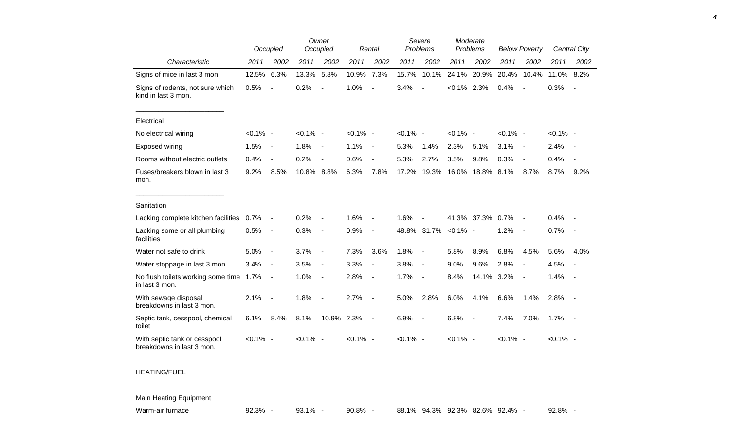|                                                           |             | Occupied                 |             | Owner<br>Occupied        |             | Rental                   |             | Severe<br>Problems       |                      | Moderate<br>Problems |             | <b>Below Poverty</b>     |             | Central City             |
|-----------------------------------------------------------|-------------|--------------------------|-------------|--------------------------|-------------|--------------------------|-------------|--------------------------|----------------------|----------------------|-------------|--------------------------|-------------|--------------------------|
| Characteristic                                            | 2011        | 2002                     | 2011        | 2002                     | 2011        | 2002                     | 2011        | 2002                     | 2011                 | 2002                 | 2011        | 2002                     | 2011        | 2002                     |
| Signs of mice in last 3 mon.                              | 12.5%       | 6.3%                     | 13.3%       | 5.8%                     | 10.9%       | 7.3%                     | 15.7%       | 10.1%                    | 24.1%                | 20.9%                | 20.4%       | 10.4%                    | 11.0%       | 8.2%                     |
| Signs of rodents, not sure which<br>kind in last 3 mon.   | 0.5%        | $\overline{\phantom{a}}$ | 0.2%        |                          | 1.0%        | $\overline{a}$           | 3.4%        |                          | $<0.1\%$ 2.3%        |                      | 0.4%        |                          | 0.3%        |                          |
| Electrical                                                |             |                          |             |                          |             |                          |             |                          |                      |                      |             |                          |             |                          |
| No electrical wiring                                      | $< 0.1\%$ - |                          | $< 0.1\%$ - |                          | $< 0.1\%$ - |                          | $< 0.1\%$ - |                          | $< 0.1\%$ -          |                      | $< 0.1\%$ - |                          | $< 0.1\%$ - |                          |
| Exposed wiring                                            | 1.5%        | $\blacksquare$           | 1.8%        | $\overline{\phantom{a}}$ | 1.1%        | $\overline{\phantom{a}}$ | 5.3%        | 1.4%                     | 2.3%                 | 5.1%                 | 3.1%        | $\sim$                   | 2.4%        | $\overline{\phantom{a}}$ |
| Rooms without electric outlets                            | 0.4%        | $\overline{\phantom{a}}$ | 0.2%        |                          | 0.6%        | $\overline{a}$           | 5.3%        | 2.7%                     | 3.5%                 | 9.8%                 | 0.3%        |                          | 0.4%        |                          |
| Fuses/breakers blown in last 3<br>mon.                    | 9.2%        | 8.5%                     | 10.8%       | 8.8%                     | 6.3%        | 7.8%                     | 17.2%       | 19.3%                    | 16.0%                | 18.8%                | 8.1%        | 8.7%                     | 8.7%        | 9.2%                     |
| Sanitation                                                |             |                          |             |                          |             |                          |             |                          |                      |                      |             |                          |             |                          |
| Lacking complete kitchen facilities                       | $0.7\%$     |                          | 0.2%        |                          | 1.6%        |                          | 1.6%        |                          |                      | 41.3% 37.3%          | 0.7%        |                          | 0.4%        |                          |
| Lacking some or all plumbing<br>facilities                | 0.5%        | $\blacksquare$           | 0.3%        | $\overline{\phantom{a}}$ | 0.9%        | $\blacksquare$           |             |                          | 48.8% 31.7% < 0.1% - |                      | 1.2%        |                          | 0.7%        |                          |
| Water not safe to drink                                   | 5.0%        | $\overline{\phantom{a}}$ | 3.7%        | $\overline{\phantom{a}}$ | 7.3%        | 3.6%                     | 1.8%        | $\overline{\phantom{a}}$ | 5.8%                 | 8.9%                 | 6.8%        | 4.5%                     | 5.6%        | 4.0%                     |
| Water stoppage in last 3 mon.                             | 3.4%        | $\overline{\phantom{a}}$ | 3.5%        | $\overline{\phantom{a}}$ | 3.3%        | $\blacksquare$           | 3.8%        | $\blacksquare$           | 9.0%                 | 9.6%                 | 2.8%        | $\overline{\phantom{a}}$ | 4.5%        |                          |
| No flush toilets working some time 1.7%<br>in last 3 mon. |             | $\overline{\phantom{a}}$ | 1.0%        | $\overline{\phantom{a}}$ | 2.8%        | $\overline{\phantom{a}}$ | 1.7%        | $\overline{\phantom{a}}$ | 8.4%                 | 14.1% 3.2%           |             | $\overline{\phantom{a}}$ | 1.4%        | $\sim$                   |
| With sewage disposal<br>breakdowns in last 3 mon.         | 2.1%        | $\blacksquare$           | 1.8%        | $\blacksquare$           | 2.7%        | $\overline{\phantom{a}}$ | 5.0%        | 2.8%                     | 6.0%                 | 4.1%                 | 6.6%        | 1.4%                     | 2.8%        | $\overline{\phantom{a}}$ |
| Septic tank, cesspool, chemical<br>toilet                 | 6.1%        | 8.4%                     | 8.1%        | 10.9%                    | 2.3%        | $\blacksquare$           | 6.9%        | $\overline{\phantom{a}}$ | 6.8%                 | $\sim$               | 7.4%        | 7.0%                     | 1.7%        | $\sim$                   |
| With septic tank or cesspool<br>breakdowns in last 3 mon. | $< 0.1\%$ - |                          | $< 0.1\%$ - |                          | $< 0.1\%$ - |                          | $< 0.1\%$ - |                          | $< 0.1\%$ -          |                      | $< 0.1\%$ - |                          | $< 0.1\%$ - |                          |

## HEATING/FUEL

## Main Heating Equipment

Warm-air furnace **92.3% -** 93.1% - 90.8% - 88.1% 94.3% 92.3% 82.6% 92.4% - 92.8% -

*4*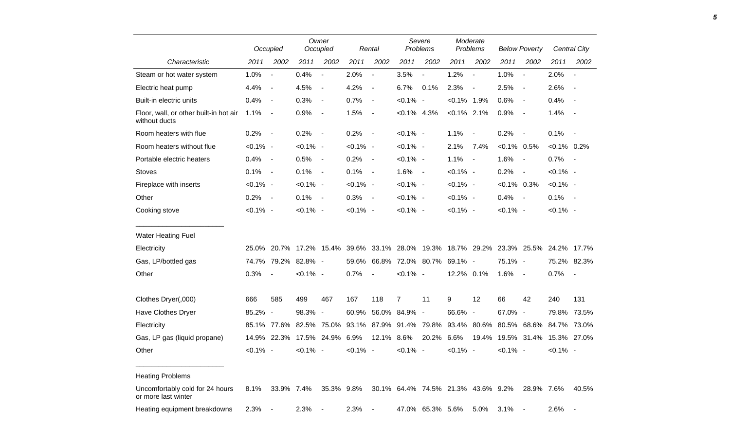|                                                         | Occupied    |                          | Owner<br>Occupied   |                          |             | Rental                   | Severe<br>Problems |                                                                               | Moderate<br>Problems |                          | <b>Below Poverty</b>                |                          | <b>Central City</b> |                          |
|---------------------------------------------------------|-------------|--------------------------|---------------------|--------------------------|-------------|--------------------------|--------------------|-------------------------------------------------------------------------------|----------------------|--------------------------|-------------------------------------|--------------------------|---------------------|--------------------------|
| Characteristic                                          | 2011        | 2002                     | 2011                | 2002                     | 2011        | 2002                     | 2011               | 2002                                                                          | 2011                 | 2002                     | 2011                                | 2002                     | 2011                | 2002                     |
| Steam or hot water system                               | 1.0%        | $\blacksquare$           | 0.4%                | $\blacksquare$           | 2.0%        | $\frac{1}{2}$            | 3.5%               | $\overline{\phantom{a}}$                                                      | 1.2%                 | $\blacksquare$           | 1.0%                                | $\overline{a}$           | 2.0%                | $\overline{\phantom{a}}$ |
| Electric heat pump                                      | 4.4%        | $\overline{\phantom{a}}$ | 4.5%                | $\overline{\phantom{a}}$ | 4.2%        | $\overline{\phantom{a}}$ | 6.7%               | 0.1%                                                                          | 2.3%                 | $\overline{\phantom{a}}$ | 2.5%                                | $\overline{\phantom{a}}$ | 2.6%                | $\blacksquare$           |
| Built-in electric units                                 | 0.4%        | $\sim$                   | 0.3%                | $\overline{\phantom{a}}$ | 0.7%        | $\blacksquare$           | $< 0.1\%$ -        |                                                                               | $< 0.1\%$ 1.9%       |                          | 0.6%                                | $\blacksquare$           | 0.4%                | $\overline{\phantom{a}}$ |
| Floor, wall, or other built-in hot air<br>without ducts | 1.1%        | $\sim$ $-$               | 0.9%                | $\overline{\phantom{a}}$ | 1.5%        | $\overline{\phantom{a}}$ | $< 0.1\%$ 4.3%     |                                                                               | $< 0.1\%$ 2.1%       |                          | 0.9%                                | $\blacksquare$           | 1.4%                | $\overline{\phantom{a}}$ |
| Room heaters with flue                                  | 0.2%        | $\sim$ $-$               | 0.2%                | $\sim$ $-$               | 0.2%        | $\sim$ $-$               | $< 0.1\%$ -        |                                                                               | 1.1%                 | $\overline{\phantom{a}}$ | 0.2%                                | $\blacksquare$           | 0.1%                | $\sim$ $-$               |
| Room heaters without flue                               | $< 0.1\%$ - |                          | $< 0.1\%$ -         |                          | $< 0.1\%$ - |                          | $< 0.1\%$ -        |                                                                               | 2.1%                 | 7.4%                     | $< 0.1\%$ 0.5%                      |                          | $< 0.1\%$ 0.2%      |                          |
| Portable electric heaters                               | 0.4%        | $\sim$ $-$               | 0.5%                | $\sim$ $-$               | 0.2%        | $\sim$                   | $< 0.1\%$ -        |                                                                               | 1.1%                 | $\blacksquare$           | 1.6%                                | $\blacksquare$           | 0.7%                | $\sim$ $-$               |
| <b>Stoves</b>                                           | 0.1%        | $\sim$ $-$               | 0.1%                | $\sim$ $-$               | 0.1%        | $\sim$ $-$               | $1.6% -$           |                                                                               | $< 0.1\%$ -          |                          | 0.2%                                | $\blacksquare$           | $< 0.1\%$ -         |                          |
| Fireplace with inserts                                  | $< 0.1\%$ - |                          | $< 0.1\%$ -         |                          | $< 0.1\%$ - |                          | $< 0.1\%$ -        |                                                                               | $< 0.1\%$ -          |                          | $<0.1\%$ 0.3%                       |                          | $< 0.1\%$ -         |                          |
| Other                                                   | 0.2%        | $\sim$ $-$               | 0.1%                | $\sim$ $-$               | 0.3%        | $\sim$                   | $< 0.1\%$ -        |                                                                               | $< 0.1\%$ -          |                          | 0.4%                                | $\overline{\phantom{a}}$ | $0.1\%$ -           |                          |
| Cooking stove                                           | $< 0.1\%$ - |                          | $< 0.1\%$ -         |                          | $< 0.1\%$ - |                          | $< 0.1\%$ -        |                                                                               | $< 0.1\%$ -          |                          | $< 0.1\%$ -                         |                          | $< 0.1\%$ -         |                          |
| <b>Water Heating Fuel</b>                               |             |                          |                     |                          |             |                          |                    |                                                                               |                      |                          |                                     |                          |                     |                          |
| Electricity                                             | 25.0%       |                          |                     |                          |             |                          |                    | 20.7% 17.2% 15.4% 39.6% 33.1% 28.0% 19.3% 18.7% 29.2% 23.3% 25.5% 24.2% 17.7% |                      |                          |                                     |                          |                     |                          |
| Gas, LP/bottled gas                                     |             |                          | 74.7% 79.2% 82.8% - |                          | 59.6%       |                          |                    | 66.8% 72.0% 80.7%                                                             | 69.1% -              |                          | 75.1% -                             |                          |                     | 75.2% 82.3%              |
| Other                                                   | 0.3%        | $\overline{\phantom{a}}$ | $< 0.1\%$ -         |                          | 0.7%        | $\overline{\phantom{a}}$ | $< 0.1\%$ -        |                                                                               | 12.2% 0.1%           |                          | 1.6%                                | $\blacksquare$           | 0.7%                | $\overline{\phantom{a}}$ |
| Clothes Dryer(,000)                                     | 666         | 585                      | 499                 | 467                      | 167         | 118                      | $\overline{7}$     | 11                                                                            | 9                    | 12                       | 66                                  | 42                       | 240                 | 131                      |
| Have Clothes Dryer                                      | 85.2% -     |                          | 98.3% -             |                          | 60.9%       |                          | 56.0% 84.9% -      |                                                                               | 66.6% -              |                          | 67.0% -                             |                          |                     | 79.8% 73.5%              |
| Electricity                                             |             | 85.1% 77.6%              | 82.5%               | 75.0%                    | 93.1%       |                          | 87.9% 91.4% 79.8%  |                                                                               |                      |                          | 93.4% 80.6% 80.5% 68.6% 84.7% 73.0% |                          |                     |                          |
| Gas, LP gas (liquid propane)                            |             | 14.9% 22.3%              |                     | 17.5% 24.9%              | 6.9%        | 12.1% 8.6%               |                    | 20.2% 6.6%                                                                    |                      |                          | 19.4% 19.5% 31.4% 15.3% 27.0%       |                          |                     |                          |
| Other                                                   | $< 0.1\%$ - |                          | $< 0.1\%$ -         |                          | $< 0.1\%$ - |                          | $< 0.1\%$ -        |                                                                               | $< 0.1\%$ -          |                          | $< 0.1\%$ -                         |                          | $< 0.1\%$ -         |                          |
| <b>Heating Problems</b>                                 |             |                          |                     |                          |             |                          |                    |                                                                               |                      |                          |                                     |                          |                     |                          |
| Uncomfortably cold for 24 hours<br>or more last winter  | 8.1%        | 33.9% 7.4%               |                     | 35.3% 9.8%               |             |                          |                    | 30.1% 64.4% 74.5% 21.3% 43.6% 9.2%                                            |                      |                          |                                     | 28.9% 7.6%               |                     | 40.5%                    |
| Heating equipment breakdowns                            | 2.3%        | $\sim$                   | 2.3%                |                          | 2.3%        | $\blacksquare$           |                    | 47.0% 65.3% 5.6%                                                              |                      | 5.0%                     | 3.1%                                | $\overline{\phantom{a}}$ | 2.6%                |                          |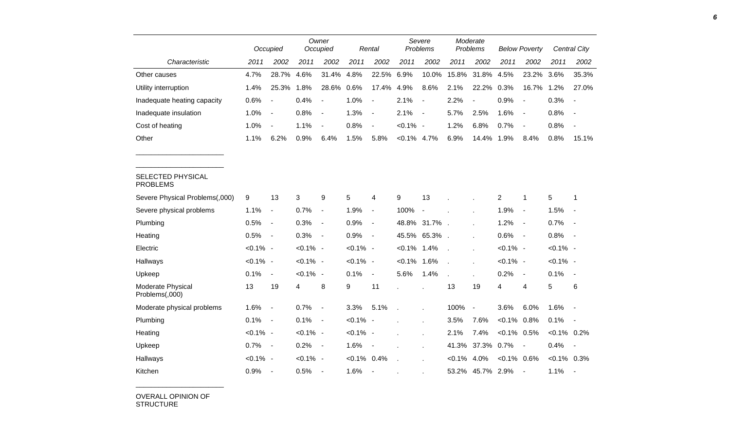|                                      |             | Occupied                     |             | Owner<br>Occupied            |             | Severe<br>Problems<br>Rental |                | Moderate<br>Problems     |                | <b>Below Poverty</b> |                | Central City             |                |                          |
|--------------------------------------|-------------|------------------------------|-------------|------------------------------|-------------|------------------------------|----------------|--------------------------|----------------|----------------------|----------------|--------------------------|----------------|--------------------------|
| Characteristic                       | 2011        | 2002                         | 2011        | 2002                         | 2011        | 2002                         | 2011           | 2002                     | 2011           | 2002                 | 2011           | 2002                     | 2011           | 2002                     |
| Other causes                         | 4.7%        | 28.7%                        | 4.6%        | 31.4%                        | 4.8%        | 22.5%                        | 6.9%           | 10.0%                    | 15.8%          | 31.8%                | 4.5%           | 23.2%                    | 3.6%           | 35.3%                    |
| Utility interruption                 | 1.4%        | 25.3%                        | 1.8%        | 28.6%                        | 0.6%        | 17.4%                        | 4.9%           | 8.6%                     | 2.1%           | 22.2%                | 0.3%           | 16.7%                    | 1.2%           | 27.0%                    |
| Inadequate heating capacity          | 0.6%        | $\overline{a}$               | 0.4%        | $\blacksquare$               | 1.0%        | $\blacksquare$               | 2.1%           | $\overline{a}$           | 2.2%           | $\overline{a}$       | 0.9%           | $\overline{\phantom{a}}$ | 0.3%           |                          |
| Inadequate insulation                | 1.0%        | $\qquad \qquad \blacksquare$ | 0.8%        | $\blacksquare$               | 1.3%        | $\overline{\phantom{a}}$     | 2.1%           | $\blacksquare$           | 5.7%           | 2.5%                 | 1.6%           | $\overline{\phantom{a}}$ | 0.8%           | $\blacksquare$           |
| Cost of heating                      | 1.0%        | $\overline{\phantom{a}}$     | 1.1%        | $\overline{\phantom{a}}$     | 0.8%        | $\overline{\phantom{a}}$     | $< 0.1\%$ -    |                          | 1.2%           | 6.8%                 | 0.7%           | $\overline{\phantom{a}}$ | 0.8%           | $\overline{\phantom{a}}$ |
| Other                                | 1.1%        | 6.2%                         | 0.9%        | 6.4%                         | 1.5%        | 5.8%                         | $< 0.1\%$ 4.7% |                          | 6.9%           | 14.4%                | 1.9%           | 8.4%                     | 0.8%           | 15.1%                    |
|                                      |             |                              |             |                              |             |                              |                |                          |                |                      |                |                          |                |                          |
| SELECTED PHYSICAL<br><b>PROBLEMS</b> |             |                              |             |                              |             |                              |                |                          |                |                      |                |                          |                |                          |
| Severe Physical Problems(,000)       | 9           | 13                           | 3           | 9                            | 5           | $\overline{4}$               | 9              | 13                       |                |                      | $\overline{2}$ | 1                        | 5              | 1                        |
| Severe physical problems             | 1.1%        | $\qquad \qquad \blacksquare$ | 0.7%        | $\overline{\phantom{a}}$     | 1.9%        | $\blacksquare$               | 100%           | $\overline{\phantom{a}}$ |                |                      | 1.9%           | $\blacksquare$           | 1.5%           |                          |
| Plumbing                             | 0.5%        | $\overline{\phantom{a}}$     | 0.3%        | $\qquad \qquad \blacksquare$ | 0.9%        | $\overline{\phantom{a}}$     | 48.8%          | 31.7%                    |                |                      | 1.2%           | $\overline{\phantom{a}}$ | 0.7%           |                          |
| Heating                              | 0.5%        | $\blacksquare$               | 0.3%        | $\blacksquare$               | 0.9%        | $\blacksquare$               | 45.5%          | 65.3%                    |                |                      | 0.6%           | $\blacksquare$           | 0.8%           | $\sim$                   |
| Electric                             | $< 0.1\%$ - |                              | $< 0.1\%$ - |                              | $< 0.1\%$ - |                              | $<0.1\%$       | 1.4%                     |                |                      | $< 0.1\%$ -    |                          | $< 0.1\%$ -    |                          |
| Hallways                             | $< 0.1\%$ - |                              | $< 0.1\%$ - |                              | $< 0.1\%$ - |                              | $< 0.1\%$      | 1.6%                     | $\overline{a}$ |                      | $< 0.1\%$ -    |                          | $< 0.1\%$ -    |                          |
| Upkeep                               | 0.1%        | $\qquad \qquad \blacksquare$ | $< 0.1\%$ - |                              | 0.1%        | $\blacksquare$               | 5.6%           | 1.4%                     | $\overline{a}$ |                      | 0.2%           | $\blacksquare$           | 0.1%           | $\sim$                   |
| Moderate Physical<br>Problems(,000)  | 13          | 19                           | 4           | 8                            | 9           | 11                           |                |                          | 13             | 19                   | 4              | 4                        | 5              | 6                        |
| Moderate physical problems           | 1.6%        |                              | 0.7%        | $\overline{\phantom{a}}$     | 3.3%        | 5.1%                         |                | ×                        | 100%           | $\blacksquare$       | 3.6%           | 6.0%                     | 1.6%           |                          |
| Plumbing                             | 0.1%        | $\qquad \qquad \blacksquare$ | 0.1%        | $\blacksquare$               | $< 0.1\%$ - |                              |                |                          | 3.5%           | 7.6%                 | $< 0.1\%$      | 0.8%                     | 0.1%           | $\overline{\phantom{a}}$ |
| Heating                              | $< 0.1\%$ - |                              | $< 0.1\%$ - |                              | $< 0.1\%$ - |                              |                |                          | 2.1%           | 7.4%                 | $< 0.1\%$      | 0.5%                     | $< 0.1\%$ 0.2% |                          |
| Upkeep                               | 0.7%        | $\overline{\phantom{a}}$     | 0.2%        | $\blacksquare$               | 1.6%        | $\blacksquare$               |                | J.                       | 41.3%          | 37.3%                | 0.7%           | $\overline{\phantom{a}}$ | 0.4%           | $\blacksquare$           |
| Hallways                             | $< 0.1\%$ - |                              | $< 0.1\%$ - |                              | $< 0.1\%$   | 0.4%                         |                |                          | $< 0.1\%$      | 4.0%                 | $< 0.1\%$ 0.6% |                          | $< 0.1\%$ 0.3% |                          |
| Kitchen                              | 0.9%        | $\blacksquare$               | 0.5%        | $\blacksquare$               | 1.6%        | $\overline{\phantom{a}}$     |                |                          | 53.2%          | 45.7%                | 2.9%           | $\blacksquare$           | 1.1%           | $\overline{\phantom{a}}$ |

OVERALL OPINION OF STRUCTURE

\_\_\_\_\_\_\_\_\_\_\_\_\_\_\_\_\_\_\_\_\_\_\_